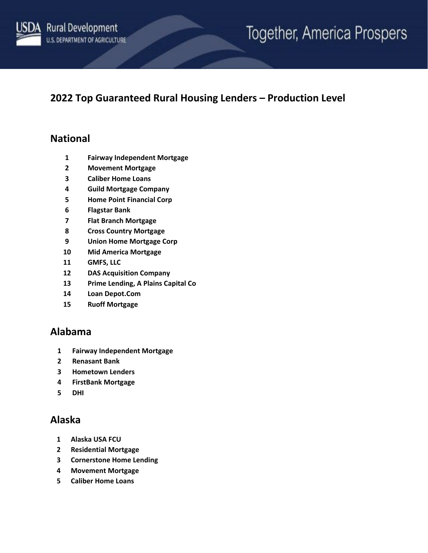

# Together, America Prospers

## **2022 Top Guaranteed Rural Housing Lenders – Production Level**

#### **National**

- **Fairway Independent Mortgage**
- **Movement Mortgage**
- **Caliber Home Loans**
- **Guild Mortgage Company**
- **Home Point Financial Corp**
- **Flagstar Bank**
- **Flat Branch Mortgage**
- **Cross Country Mortgage**
- **Union Home Mortgage Corp**
- **Mid America Mortgage**
- **GMFS, LLC**
- **DAS Acquisition Company**
- **Prime Lending, A Plains Capital Co**
- **Loan Depot.Com**
- **Ruoff Mortgage**

#### **Alabama**

- **Fairway Independent Mortgage**
- **Renasant Bank**
- **Hometown Lenders**
- **FirstBank Mortgage**
- **DHI**

#### **Alaska**

- **Alaska USA FCU**
- **Residential Mortgage**
- **Cornerstone Home Lending**
- **Movement Mortgage**
- **Caliber Home Loans**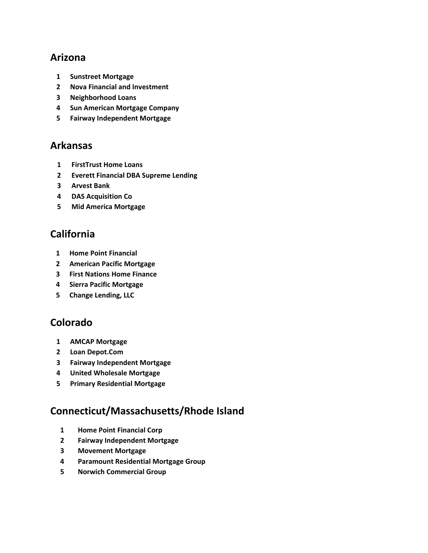#### **Arizona**

- **Sunstreet Mortgage**
- **Nova Financial and Investment**
- **Neighborhood Loans**
- **Sun American Mortgage Company**
- **Fairway Independent Mortgage**

#### **Arkansas**

- **FirstTrust Home Loans**
- **Everett Financial DBA Supreme Lending**
- **Arvest Bank**
- **DAS Acquisition Co**
- **Mid America Mortgage**

# **California**

- **Home Point Financial**
- **American Pacific Mortgage**
- **First Nations Home Finance**
- **Sierra Pacific Mortgage**
- **Change Lending, LLC**

## **Colorado**

- **AMCAP Mortgage**
- **Loan Depot.Com**
- **Fairway Independent Mortgage**
- **United Wholesale Mortgage**
- **Primary Residential Mortgage**

## **Connecticut/Massachusetts/Rhode Island**

- **Home Point Financial Corp**
- **Fairway Independent Mortgage**
- **Movement Mortgage**
- **Paramount Residential Mortgage Group**
- **Norwich Commercial Group**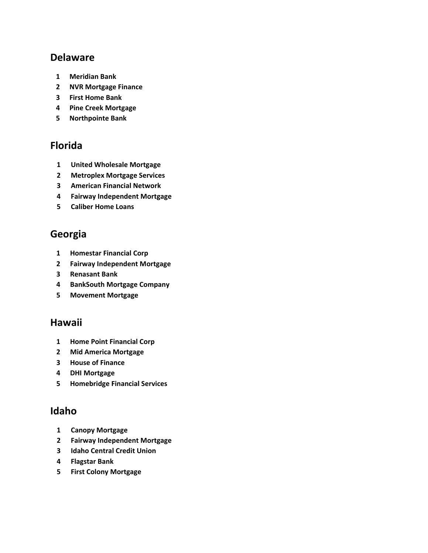#### **Delaware**

- **Meridian Bank**
- **NVR Mortgage Finance**
- **First Home Bank**
- **Pine Creek Mortgage**
- **Northpointe Bank**

### **Florida**

- **United Wholesale Mortgage**
- **Metroplex Mortgage Services**
- **American Financial Network**
- **Fairway Independent Mortgage**
- **Caliber Home Loans**

### **Georgia**

- **Homestar Financial Corp**
- **Fairway Independent Mortgage**
- **Renasant Bank**
- **BankSouth Mortgage Company**
- **Movement Mortgage**

#### **Hawaii**

- **Home Point Financial Corp**
- **Mid America Mortgage**
- **House of Finance**
- **DHI Mortgage**
- **Homebridge Financial Services**

#### **Idaho**

- **Canopy Mortgage**
- **Fairway Independent Mortgage**
- **Idaho Central Credit Union**
- **Flagstar Bank**
- **First Colony Mortgage**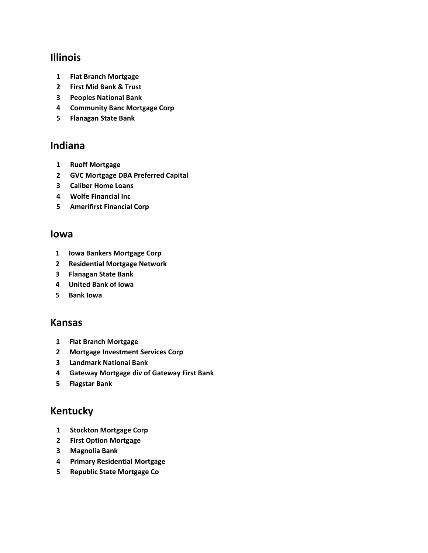#### **Illinois**

- **Flat Branch Mortgage**
- **First Mid Bank & Trust**
- **Peoples National Bank**
- **Community Banc Mortgage Corp**
- **Flanagan State Bank**

#### **Indiana**

- **Ruoff Mortgage**
- **GVC Mortgage DBA Preferred Capital**
- **Caliber Home Loans**
- **Wolfe Financial Inc**
- **Amerifirst Financial Corp**

#### **Iowa**

- **Iowa Bankers Mortgage Corp**
- **Residential Mortgage Network**
- **Flanagan State Bank**
- **United Bank of Iowa**
- **Bank Iowa**

#### **Kansas**

- **Flat Branch Mortgage**
- **Mortgage Investment Services Corp**
- **Landmark National Bank**
- **Gateway Mortgage div of Gateway First Bank**
- **Flagstar Bank**

#### **Kentucky**

- **Stockton Mortgage Corp**
- **First Option Mortgage**
- **Magnolia Bank**
- **Primary Residential Mortgage**
- **Republic State Mortgage Co**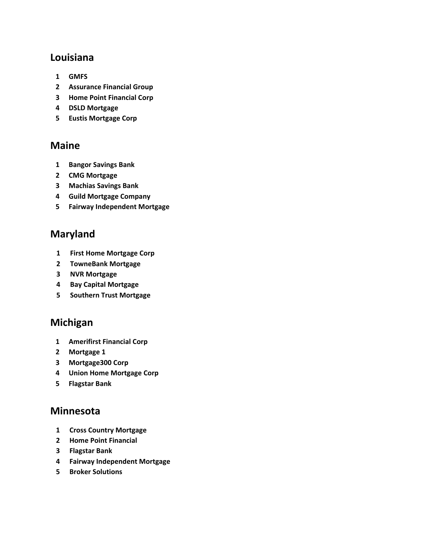#### **Louisiana**

- **GMFS**
- **Assurance Financial Group**
- **Home Point Financial Corp**
- **DSLD Mortgage**
- **Eustis Mortgage Corp**

#### **Maine**

- **Bangor Savings Bank**
- **CMG Mortgage**
- **Machias Savings Bank**
- **Guild Mortgage Company**
- **Fairway Independent Mortgage**

### **Maryland**

- **First Home Mortgage Corp**
- **TowneBank Mortgage**
- **NVR Mortgage**
- **Bay Capital Mortgage**
- **Southern Trust Mortgage**

#### **Michigan**

- **Amerifirst Financial Corp**
- **Mortgage 1**
- **Mortgage300 Corp**
- **Union Home Mortgage Corp**
- **Flagstar Bank**

#### **Minnesota**

- **Cross Country Mortgage**
- **Home Point Financial**
- **Flagstar Bank**
- **Fairway Independent Mortgage**
- **Broker Solutions**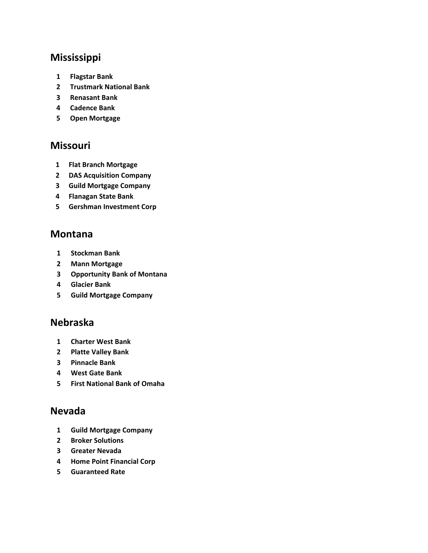## **Mississippi**

- **Flagstar Bank**
- **Trustmark National Bank**
- **Renasant Bank**
- **Cadence Bank**
- **Open Mortgage**

#### **Missouri**

- **Flat Branch Mortgage**
- **DAS Acquisition Company**
- **Guild Mortgage Company**
- **Flanagan State Bank**
- **Gershman Investment Corp**

#### **Montana**

- **Stockman Bank**
- **Mann Mortgage**
- **Opportunity Bank of Montana**
- **Glacier Bank**
- **Guild Mortgage Company**

#### **Nebraska**

- **Charter West Bank**
- **Platte Valley Bank**
- **Pinnacle Bank**
- **West Gate Bank**
- **First National Bank of Omaha**

#### **Nevada**

- **Guild Mortgage Company**
- **Broker Solutions**
- **Greater Nevada**
- **Home Point Financial Corp**
- **Guaranteed Rate**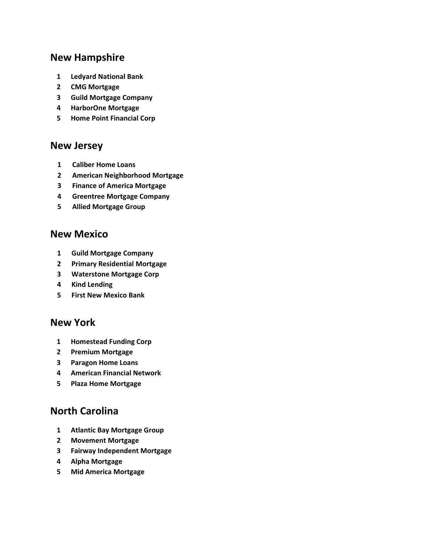# **New Hampshire**

- **Ledyard National Bank**
- **CMG Mortgage**
- **Guild Mortgage Company**
- **HarborOne Mortgage**
- **Home Point Financial Corp**

#### **New Jersey**

- **Caliber Home Loans**
- **American Neighborhood Mortgage**
- **Finance of America Mortgage**
- **Greentree Mortgage Company**
- **Allied Mortgage Group**

#### **New Mexico**

- **Guild Mortgage Company**
- **Primary Residential Mortgage**
- **Waterstone Mortgage Corp**
- **Kind Lending**
- **First New Mexico Bank**

#### **New York**

- **Homestead Funding Corp**
- **Premium Mortgage**
- **Paragon Home Loans**
- **American Financial Network**
- **Plaza Home Mortgage**

#### **North Carolina**

- **Atlantic Bay Mortgage Group**
- **Movement Mortgage**
- **Fairway Independent Mortgage**
- **Alpha Mortgage**
- **Mid America Mortgage**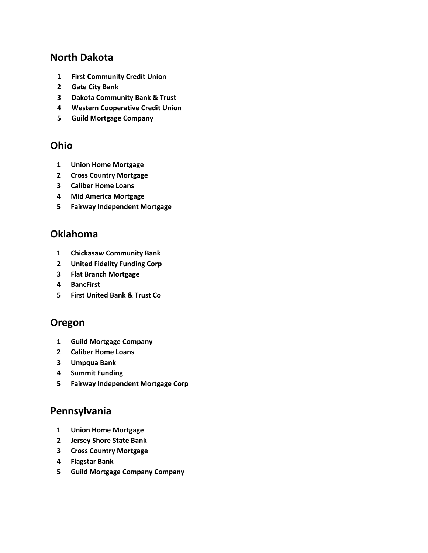#### **North Dakota**

- **First Community Credit Union**
- **Gate City Bank**
- **Dakota Community Bank & Trust**
- **Western Cooperative Credit Union**
- **Guild Mortgage Company**

#### **Ohio**

- **Union Home Mortgage**
- **Cross Country Mortgage**
- **Caliber Home Loans**
- **Mid America Mortgage**
- **Fairway Independent Mortgage**

#### **Oklahoma**

- **Chickasaw Community Bank**
- **United Fidelity Funding Corp**
- **Flat Branch Mortgage**
- **BancFirst**
- **First United Bank & Trust Co**

#### **Oregon**

- **Guild Mortgage Company**
- **Caliber Home Loans**
- **Umpqua Bank**
- **Summit Funding**
- **Fairway Independent Mortgage Corp**

#### **Pennsylvania**

- **Union Home Mortgage**
- **Jersey Shore State Bank**
- **Cross Country Mortgage**
- **Flagstar Bank**
- **Guild Mortgage Company Company**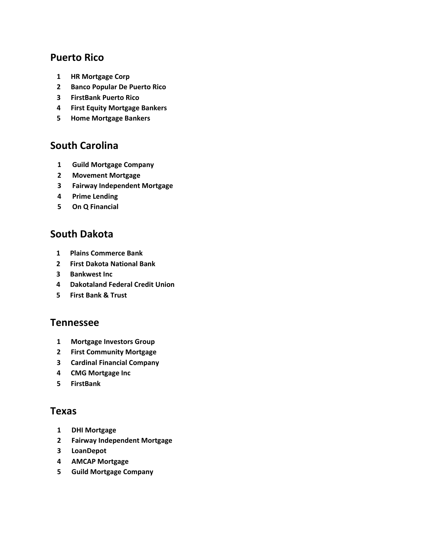#### **Puerto Rico**

- **HR Mortgage Corp**
- **Banco Popular De Puerto Rico**
- **FirstBank Puerto Rico**
- **First Equity Mortgage Bankers**
- **Home Mortgage Bankers**

#### **South Carolina**

- **Guild Mortgage Company**
- **Movement Mortgage**
- **Fairway Independent Mortgage**
- **Prime Lending**
- **On Q Financial**

#### **South Dakota**

- **Plains Commerce Bank**
- **First Dakota National Bank**
- **Bankwest Inc**
- **Dakotaland Federal Credit Union**
- **First Bank & Trust**

#### **Tennessee**

- **Mortgage Investors Group**
- **First Community Mortgage**
- **Cardinal Financial Company**
- **CMG Mortgage Inc**
- **FirstBank**

#### **Texas**

- **DHI Mortgage**
- **Fairway Independent Mortgage**
- **LoanDepot**
- **AMCAP Mortgage**
- **Guild Mortgage Company**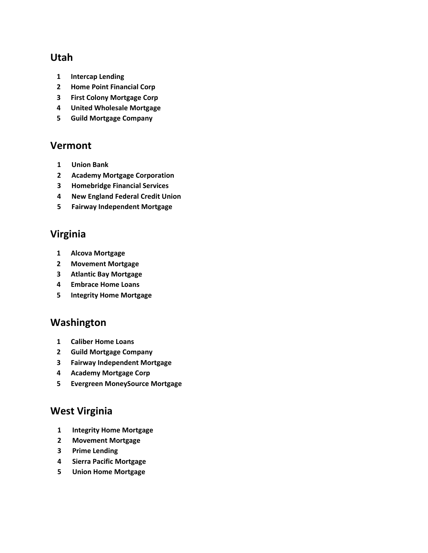#### **Utah**

- **Intercap Lending**
- **Home Point Financial Corp**
- **First Colony Mortgage Corp**
- **United Wholesale Mortgage**
- **Guild Mortgage Company**

#### **Vermont**

- **Union Bank**
- **Academy Mortgage Corporation**
- **Homebridge Financial Services**
- **New England Federal Credit Union**
- **Fairway Independent Mortgage**

### **Virginia**

- **Alcova Mortgage**
- **Movement Mortgage**
- **Atlantic Bay Mortgage**
- **Embrace Home Loans**
- **Integrity Home Mortgage**

#### **Washington**

- **Caliber Home Loans**
- **Guild Mortgage Company**
- **Fairway Independent Mortgage**
- **Academy Mortgage Corp**
- **Evergreen MoneySource Mortgage**

# **West Virginia**

- **Integrity Home Mortgage**
- **Movement Mortgage**
- **Prime Lending**
- **Sierra Pacific Mortgage**
- **Union Home Mortgage**